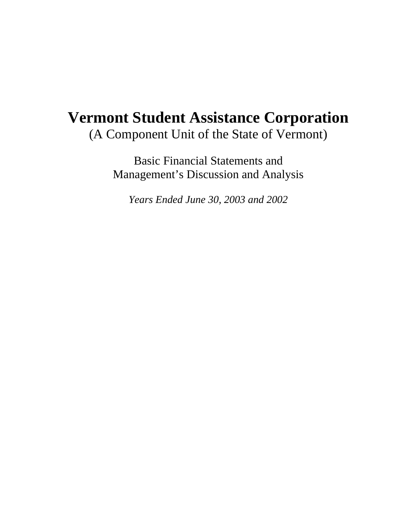# **Vermont Student Assistance Corporation**  (A Component Unit of the State of Vermont)

Basic Financial Statements and Management's Discussion and Analysis

*Years Ended June 30, 2003 and 2002*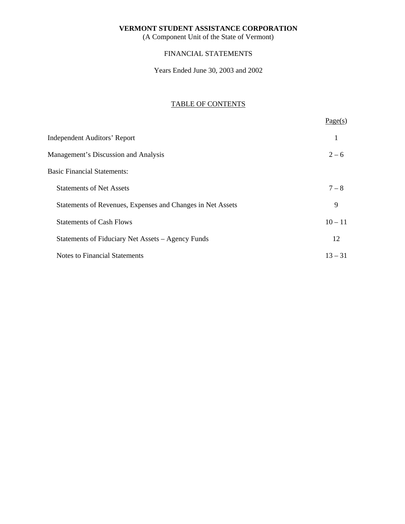(A Component Unit of the State of Vermont)

# FINANCIAL STATEMENTS

Years Ended June 30, 2003 and 2002

# TABLE OF CONTENTS

|                                                            | Page(s)   |
|------------------------------------------------------------|-----------|
| <b>Independent Auditors' Report</b>                        | 1         |
| Management's Discussion and Analysis                       | $2 - 6$   |
| <b>Basic Financial Statements:</b>                         |           |
| <b>Statements of Net Assets</b>                            | $7 - 8$   |
| Statements of Revenues, Expenses and Changes in Net Assets | 9         |
| <b>Statements of Cash Flows</b>                            | $10 - 11$ |
| Statements of Fiduciary Net Assets – Agency Funds          | 12        |
| <b>Notes to Financial Statements</b>                       | $13 - 31$ |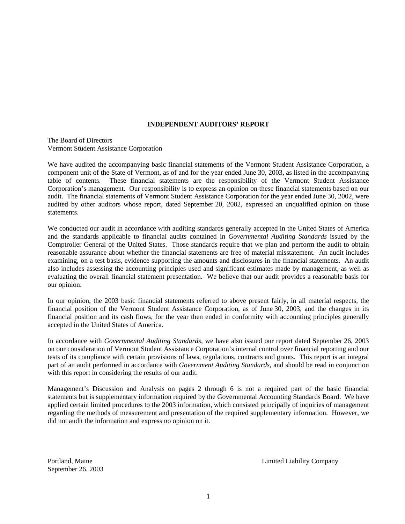#### **INDEPENDENT AUDITORS' REPORT**

The Board of Directors Vermont Student Assistance Corporation

We have audited the accompanying basic financial statements of the Vermont Student Assistance Corporation, a component unit of the State of Vermont, as of and for the year ended June 30, 2003, as listed in the accompanying table of contents. These financial statements are the responsibility of the Vermont Student Assistance Corporation's management. Our responsibility is to express an opinion on these financial statements based on our audit. The financial statements of Vermont Student Assistance Corporation for the year ended June 30, 2002, were audited by other auditors whose report, dated September 20, 2002, expressed an unqualified opinion on those statements.

We conducted our audit in accordance with auditing standards generally accepted in the United States of America and the standards applicable to financial audits contained in *Governmental Auditing Standards* issued by the Comptroller General of the United States. Those standards require that we plan and perform the audit to obtain reasonable assurance about whether the financial statements are free of material misstatement. An audit includes examining, on a test basis, evidence supporting the amounts and disclosures in the financial statements. An audit also includes assessing the accounting principles used and significant estimates made by management, as well as evaluating the overall financial statement presentation. We believe that our audit provides a reasonable basis for our opinion.

In our opinion, the 2003 basic financial statements referred to above present fairly, in all material respects, the financial position of the Vermont Student Assistance Corporation, as of June 30, 2003, and the changes in its financial position and its cash flows, for the year then ended in conformity with accounting principles generally accepted in the United States of America.

In accordance with *Governmental Auditing Standards*, we have also issued our report dated September 26, 2003 on our consideration of Vermont Student Assistance Corporation's internal control over financial reporting and our tests of its compliance with certain provisions of laws, regulations, contracts and grants. This report is an integral part of an audit performed in accordance with *Government Auditing Standards*, and should be read in conjunction with this report in considering the results of our audit.

Management's Discussion and Analysis on pages 2 through 6 is not a required part of the basic financial statements but is supplementary information required by the Governmental Accounting Standards Board. We have applied certain limited procedures to the 2003 information, which consisted principally of inquiries of management regarding the methods of measurement and presentation of the required supplementary information. However, we did not audit the information and express no opinion on it.

September 26, 2003

Portland, Maine **Limited Liability Company**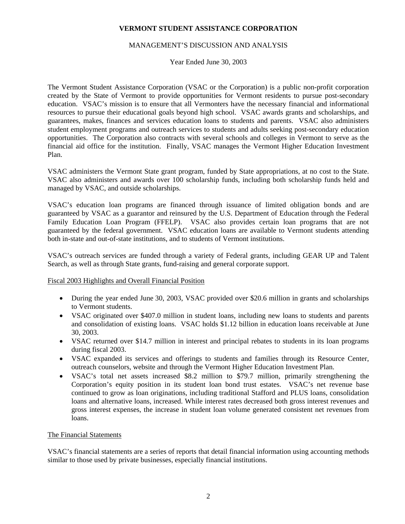# MANAGEMENT'S DISCUSSION AND ANALYSIS

Year Ended June 30, 2003

The Vermont Student Assistance Corporation (VSAC or the Corporation) is a public non-profit corporation created by the State of Vermont to provide opportunities for Vermont residents to pursue post-secondary education. VSAC's mission is to ensure that all Vermonters have the necessary financial and informational resources to pursue their educational goals beyond high school. VSAC awards grants and scholarships, and guarantees, makes, finances and services education loans to students and parents. VSAC also administers student employment programs and outreach services to students and adults seeking post-secondary education opportunities. The Corporation also contracts with several schools and colleges in Vermont to serve as the financial aid office for the institution. Finally, VSAC manages the Vermont Higher Education Investment Plan.

VSAC administers the Vermont State grant program, funded by State appropriations, at no cost to the State. VSAC also administers and awards over 100 scholarship funds, including both scholarship funds held and managed by VSAC, and outside scholarships.

VSAC's education loan programs are financed through issuance of limited obligation bonds and are guaranteed by VSAC as a guarantor and reinsured by the U.S. Department of Education through the Federal Family Education Loan Program (FFELP). VSAC also provides certain loan programs that are not guaranteed by the federal government. VSAC education loans are available to Vermont students attending both in-state and out-of-state institutions, and to students of Vermont institutions.

VSAC's outreach services are funded through a variety of Federal grants, including GEAR UP and Talent Search, as well as through State grants, fund-raising and general corporate support.

# Fiscal 2003 Highlights and Overall Financial Position

- During the year ended June 30, 2003, VSAC provided over \$20.6 million in grants and scholarships to Vermont students.
- VSAC originated over \$407.0 million in student loans, including new loans to students and parents and consolidation of existing loans. VSAC holds \$1.12 billion in education loans receivable at June 30, 2003.
- VSAC returned over \$14.7 million in interest and principal rebates to students in its loan programs during fiscal 2003.
- VSAC expanded its services and offerings to students and families through its Resource Center, outreach counselors, website and through the Vermont Higher Education Investment Plan.
- VSAC's total net assets increased \$8.2 million to \$79.7 million, primarily strengthening the Corporation's equity position in its student loan bond trust estates. VSAC's net revenue base continued to grow as loan originations, including traditional Stafford and PLUS loans, consolidation loans and alternative loans, increased. While interest rates decreased both gross interest revenues and gross interest expenses, the increase in student loan volume generated consistent net revenues from loans.

# The Financial Statements

VSAC's financial statements are a series of reports that detail financial information using accounting methods similar to those used by private businesses, especially financial institutions.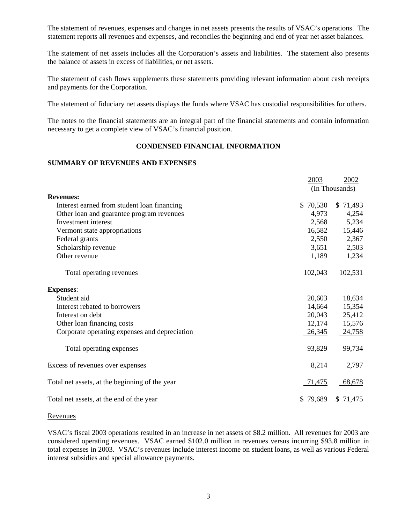The statement of revenues, expenses and changes in net assets presents the results of VSAC's operations. The statement reports all revenues and expenses, and reconciles the beginning and end of year net asset balances.

The statement of net assets includes all the Corporation's assets and liabilities. The statement also presents the balance of assets in excess of liabilities, or net assets.

The statement of cash flows supplements these statements providing relevant information about cash receipts and payments for the Corporation.

The statement of fiduciary net assets displays the funds where VSAC has custodial responsibilities for others.

The notes to the financial statements are an integral part of the financial statements and contain information necessary to get a complete view of VSAC's financial position.

# **CONDENSED FINANCIAL INFORMATION**

### **SUMMARY OF REVENUES AND EXPENSES**

|                                                | 2003      | 2002           |
|------------------------------------------------|-----------|----------------|
|                                                |           | (In Thousands) |
| <b>Revenues:</b>                               |           |                |
| Interest earned from student loan financing    | \$70,530  | \$71,493       |
| Other loan and guarantee program revenues      | 4,973     | 4,254          |
| Investment interest                            | 2,568     | 5,234          |
| Vermont state appropriations                   | 16,582    | 15,446         |
| Federal grants                                 | 2,550     | 2,367          |
| Scholarship revenue                            | 3,651     | 2,503          |
| Other revenue                                  | 1,189     | 1,234          |
| Total operating revenues                       | 102,043   | 102,531        |
| <b>Expenses:</b>                               |           |                |
| Student aid                                    | 20,603    | 18,634         |
| Interest rebated to borrowers                  | 14,664    | 15,354         |
| Interest on debt                               | 20,043    | 25,412         |
| Other loan financing costs                     | 12,174    | 15,576         |
| Corporate operating expenses and depreciation  | 26,345    | 24,758         |
| Total operating expenses                       | 93,829    | 99,734         |
| Excess of revenues over expenses               | 8,214     | 2,797          |
| Total net assets, at the beginning of the year | 71,475    | 68,678         |
| Total net assets, at the end of the year       | \$ 79,689 | \$71,475       |

#### Revenues

VSAC's fiscal 2003 operations resulted in an increase in net assets of \$8.2 million. All revenues for 2003 are considered operating revenues. VSAC earned \$102.0 million in revenues versus incurring \$93.8 million in total expenses in 2003. VSAC's revenues include interest income on student loans, as well as various Federal interest subsidies and special allowance payments.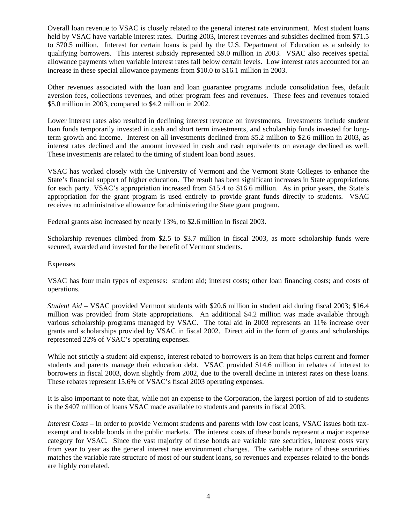Overall loan revenue to VSAC is closely related to the general interest rate environment. Most student loans held by VSAC have variable interest rates. During 2003, interest revenues and subsidies declined from \$71.5 to \$70.5 million. Interest for certain loans is paid by the U.S. Department of Education as a subsidy to qualifying borrowers. This interest subsidy represented \$9.0 million in 2003. VSAC also receives special allowance payments when variable interest rates fall below certain levels. Low interest rates accounted for an increase in these special allowance payments from \$10.0 to \$16.1 million in 2003.

Other revenues associated with the loan and loan guarantee programs include consolidation fees, default aversion fees, collections revenues, and other program fees and revenues. These fees and revenues totaled \$5.0 million in 2003, compared to \$4.2 million in 2002.

Lower interest rates also resulted in declining interest revenue on investments. Investments include student loan funds temporarily invested in cash and short term investments, and scholarship funds invested for longterm growth and income. Interest on all investments declined from \$5.2 million to \$2.6 million in 2003, as interest rates declined and the amount invested in cash and cash equivalents on average declined as well. These investments are related to the timing of student loan bond issues.

VSAC has worked closely with the University of Vermont and the Vermont State Colleges to enhance the State's financial support of higher education. The result has been significant increases in State appropriations for each party. VSAC's appropriation increased from \$15.4 to \$16.6 million. As in prior years, the State's appropriation for the grant program is used entirely to provide grant funds directly to students. VSAC receives no administrative allowance for administering the State grant program.

Federal grants also increased by nearly 13%, to \$2.6 million in fiscal 2003.

Scholarship revenues climbed from \$2.5 to \$3.7 million in fiscal 2003, as more scholarship funds were secured, awarded and invested for the benefit of Vermont students.

# **Expenses**

VSAC has four main types of expenses: student aid; interest costs; other loan financing costs; and costs of operations.

*Student Aid* – VSAC provided Vermont students with \$20.6 million in student aid during fiscal 2003; \$16.4 million was provided from State appropriations. An additional \$4.2 million was made available through various scholarship programs managed by VSAC. The total aid in 2003 represents an 11% increase over grants and scholarships provided by VSAC in fiscal 2002. Direct aid in the form of grants and scholarships represented 22% of VSAC's operating expenses.

While not strictly a student aid expense, interest rebated to borrowers is an item that helps current and former students and parents manage their education debt. VSAC provided \$14.6 million in rebates of interest to borrowers in fiscal 2003, down slightly from 2002, due to the overall decline in interest rates on these loans. These rebates represent 15.6% of VSAC's fiscal 2003 operating expenses.

It is also important to note that, while not an expense to the Corporation, the largest portion of aid to students is the \$407 million of loans VSAC made available to students and parents in fiscal 2003.

*Interest Costs* – In order to provide Vermont students and parents with low cost loans, VSAC issues both taxexempt and taxable bonds in the public markets. The interest costs of these bonds represent a major expense category for VSAC. Since the vast majority of these bonds are variable rate securities, interest costs vary from year to year as the general interest rate environment changes. The variable nature of these securities matches the variable rate structure of most of our student loans, so revenues and expenses related to the bonds are highly correlated.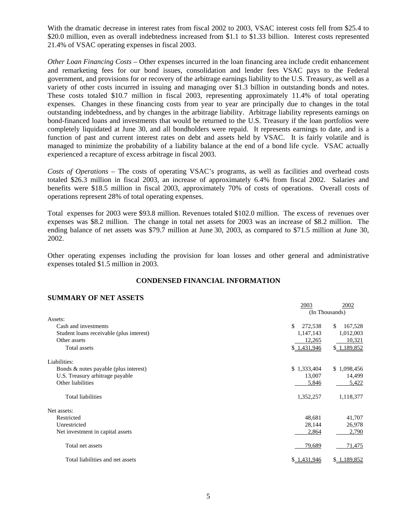With the dramatic decrease in interest rates from fiscal 2002 to 2003, VSAC interest costs fell from \$25.4 to \$20.0 million, even as overall indebtedness increased from \$1.1 to \$1.33 billion. Interest costs represented 21.4% of VSAC operating expenses in fiscal 2003.

*Other Loan Financing Costs* – Other expenses incurred in the loan financing area include credit enhancement and remarketing fees for our bond issues, consolidation and lender fees VSAC pays to the Federal government, and provisions for or recovery of the arbitrage earnings liability to the U.S. Treasury, as well as a variety of other costs incurred in issuing and managing over \$1.3 billion in outstanding bonds and notes. These costs totaled \$10.7 million in fiscal 2003, representing approximately 11.4% of total operating expenses. Changes in these financing costs from year to year are principally due to changes in the total outstanding indebtedness, and by changes in the arbitrage liability. Arbitrage liability represents earnings on bond-financed loans and investments that would be returned to the U.S. Treasury if the loan portfolios were completely liquidated at June 30, and all bondholders were repaid. It represents earnings to date, and is a function of past and current interest rates on debt and assets held by VSAC. It is fairly volatile and is managed to minimize the probability of a liability balance at the end of a bond life cycle. VSAC actually experienced a recapture of excess arbitrage in fiscal 2003.

*Costs of Operations* – The costs of operating VSAC's programs, as well as facilities and overhead costs totaled \$26.3 million in fiscal 2003, an increase of approximately 6.4% from fiscal 2002. Salaries and benefits were \$18.5 million in fiscal 2003, approximately 70% of costs of operations. Overall costs of operations represent 28% of total operating expenses.

Total expenses for 2003 were \$93.8 million. Revenues totaled \$102.0 million. The excess of revenues over expenses was \$8.2 million. The change in total net assets for 2003 was an increase of \$8.2 million. The ending balance of net assets was \$79.7 million at June 30, 2003, as compared to \$71.5 million at June 30, 2002.

Other operating expenses including the provision for loan losses and other general and administrative expenses totaled \$1.5 million in 2003.

# **CONDENSED FINANCIAL INFORMATION**

#### **SUMMARY OF NET ASSETS**

|                                          | 2003          | 2002<br>(In Thousands) |  |
|------------------------------------------|---------------|------------------------|--|
| Assets:                                  |               |                        |  |
| Cash and investments                     | 272,538<br>\$ | 167,528<br>\$.         |  |
| Student loans receivable (plus interest) | 1,147,143     | 1,012,003              |  |
| Other assets                             | 12,265        | 10,321                 |  |
| Total assets                             | \$1,431,946   | \$1,189,852            |  |
| Liabilities:                             |               |                        |  |
| Bonds & notes payable (plus interest)    | \$1,333,404   | \$1,098,456            |  |
| U.S. Treasury arbitrage payable          | 13,007        | 14,499                 |  |
| Other liabilities                        | 5,846         | 5,422                  |  |
| <b>Total liabilities</b>                 | 1,352,257     | 1,118,377              |  |
| Net assets:                              |               |                        |  |
| Restricted                               | 48,681        | 41,707                 |  |
| Unrestricted                             | 28,144        | 26,978                 |  |
| Net investment in capital assets         | 2,864         | 2,790                  |  |
| Total net assets                         | 79,689        | 71,475                 |  |
| Total liabilities and net assets         | \$1,431,946   | \$1,189,852            |  |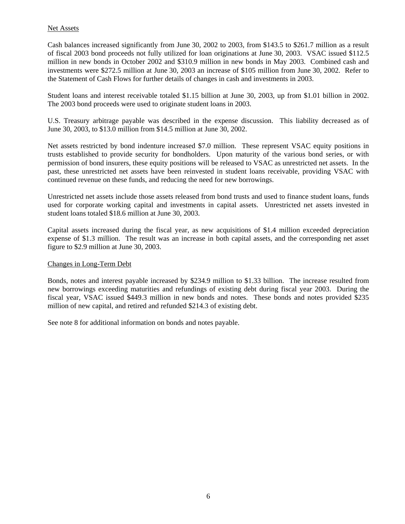# Net Assets

Cash balances increased significantly from June 30, 2002 to 2003, from \$143.5 to \$261.7 million as a result of fiscal 2003 bond proceeds not fully utilized for loan originations at June 30, 2003. VSAC issued \$112.5 million in new bonds in October 2002 and \$310.9 million in new bonds in May 2003. Combined cash and investments were \$272.5 million at June 30, 2003 an increase of \$105 million from June 30, 2002. Refer to the Statement of Cash Flows for further details of changes in cash and investments in 2003.

Student loans and interest receivable totaled \$1.15 billion at June 30, 2003, up from \$1.01 billion in 2002. The 2003 bond proceeds were used to originate student loans in 2003.

U.S. Treasury arbitrage payable was described in the expense discussion. This liability decreased as of June 30, 2003, to \$13.0 million from \$14.5 million at June 30, 2002.

Net assets restricted by bond indenture increased \$7.0 million. These represent VSAC equity positions in trusts established to provide security for bondholders. Upon maturity of the various bond series, or with permission of bond insurers, these equity positions will be released to VSAC as unrestricted net assets. In the past, these unrestricted net assets have been reinvested in student loans receivable, providing VSAC with continued revenue on these funds, and reducing the need for new borrowings.

Unrestricted net assets include those assets released from bond trusts and used to finance student loans, funds used for corporate working capital and investments in capital assets. Unrestricted net assets invested in student loans totaled \$18.6 million at June 30, 2003.

Capital assets increased during the fiscal year, as new acquisitions of \$1.4 million exceeded depreciation expense of \$1.3 million. The result was an increase in both capital assets, and the corresponding net asset figure to \$2.9 million at June 30, 2003.

### Changes in Long-Term Debt

Bonds, notes and interest payable increased by \$234.9 million to \$1.33 billion. The increase resulted from new borrowings exceeding maturities and refundings of existing debt during fiscal year 2003. During the fiscal year, VSAC issued \$449.3 million in new bonds and notes. These bonds and notes provided \$235 million of new capital, and retired and refunded \$214.3 of existing debt.

See note 8 for additional information on bonds and notes payable.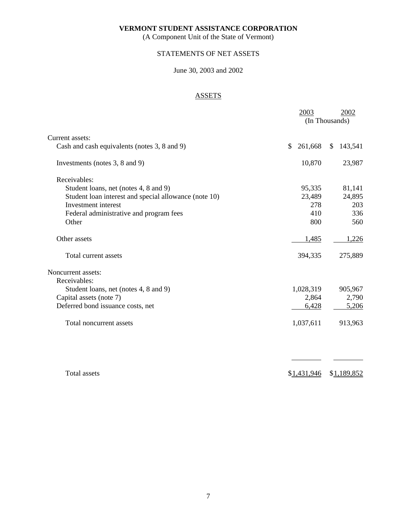(A Component Unit of the State of Vermont)

# STATEMENTS OF NET ASSETS

# June 30, 2003 and 2002

# **ASSETS**

|                                                       | 2003          | 2002                    |
|-------------------------------------------------------|---------------|-------------------------|
|                                                       |               | (In Thousands)          |
| Current assets:                                       |               |                         |
| Cash and cash equivalents (notes 3, 8 and 9)          | 261,668<br>\$ | 143,541<br>$\mathbb{S}$ |
| Investments (notes 3, 8 and 9)                        | 10,870        | 23,987                  |
| Receivables:                                          |               |                         |
| Student loans, net (notes 4, 8 and 9)                 | 95,335        | 81,141                  |
| Student loan interest and special allowance (note 10) | 23,489        | 24,895                  |
| Investment interest                                   | 278           | 203                     |
| Federal administrative and program fees               | 410           | 336                     |
| Other                                                 | 800           | 560                     |
| Other assets                                          | 1,485         | 1,226                   |
| Total current assets                                  | 394,335       | 275,889                 |
| Noncurrent assets:                                    |               |                         |
| Receivables:                                          |               |                         |
| Student loans, net (notes 4, 8 and 9)                 | 1,028,319     | 905,967                 |
| Capital assets (note 7)                               | 2,864         | 2,790                   |
| Deferred bond issuance costs, net                     | 6,428         | 5,206                   |
| Total noncurrent assets                               | 1,037,611     | 913,963                 |
|                                                       |               |                         |
| <b>Total</b> assets                                   | \$1,431,946   | \$1,189,852             |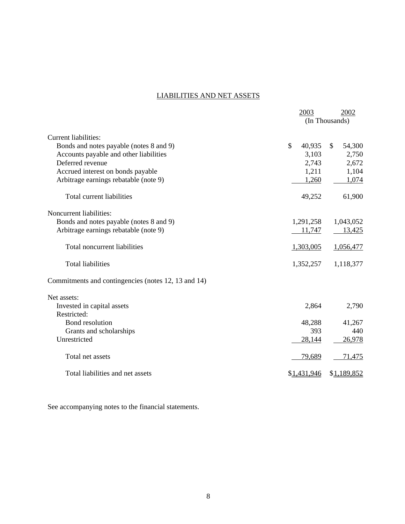# LIABILITIES AND NET ASSETS

|                                                     | 2003         | 2002                   |  |
|-----------------------------------------------------|--------------|------------------------|--|
|                                                     |              | (In Thousands)         |  |
| Current liabilities:                                |              |                        |  |
| Bonds and notes payable (notes 8 and 9)             | \$<br>40,935 | $\mathbb{S}$<br>54,300 |  |
| Accounts payable and other liabilities              | 3,103        | 2,750                  |  |
| Deferred revenue                                    | 2,743        | 2,672                  |  |
| Accrued interest on bonds payable                   | 1,211        | 1,104                  |  |
| Arbitrage earnings rebatable (note 9)               | 1,260        | 1,074                  |  |
| Total current liabilities                           | 49,252       | 61,900                 |  |
| Noncurrent liabilities:                             |              |                        |  |
| Bonds and notes payable (notes 8 and 9)             | 1,291,258    | 1,043,052              |  |
| Arbitrage earnings rebatable (note 9)               | 11,747       | <u>13,425</u>          |  |
| Total noncurrent liabilities                        | 1,303,005    | 1,056,477              |  |
| <b>Total liabilities</b>                            | 1,352,257    | 1,118,377              |  |
| Commitments and contingencies (notes 12, 13 and 14) |              |                        |  |
| Net assets:                                         |              |                        |  |
| Invested in capital assets                          | 2,864        | 2,790                  |  |
| Restricted:                                         |              |                        |  |
| Bond resolution                                     | 48,288       | 41,267                 |  |
| Grants and scholarships                             | 393          | 440                    |  |
| Unrestricted                                        | 28,144       | 26,978                 |  |
| Total net assets                                    | 79,689       | 71,475                 |  |
| Total liabilities and net assets                    | \$1,431,946  | \$1,189,852            |  |

See accompanying notes to the financial statements.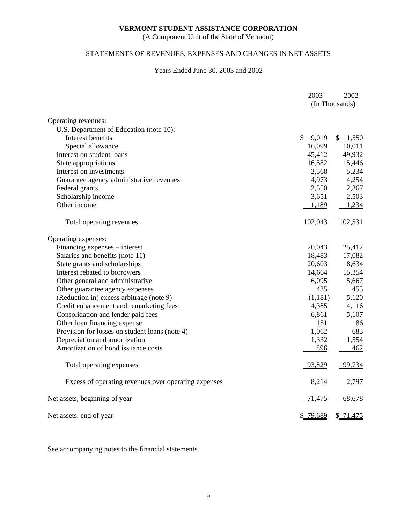(A Component Unit of the State of Vermont)

# STATEMENTS OF REVENUES, EXPENSES AND CHANGES IN NET ASSETS

# Years Ended June 30, 2003 and 2002

|                                                      | 2003        | 2002           |
|------------------------------------------------------|-------------|----------------|
|                                                      |             | (In Thousands) |
| Operating revenues:                                  |             |                |
| U.S. Department of Education (note 10):              |             |                |
| Interest benefits                                    | \$<br>9,019 | \$11,550       |
| Special allowance                                    | 16,099      | 10,011         |
| Interest on student loans                            | 45,412      | 49,932         |
| State appropriations                                 | 16,582      | 15,446         |
| Interest on investments                              | 2,568       | 5,234          |
| Guarantee agency administrative revenues             | 4,973       | 4,254          |
| Federal grants                                       | 2,550       | 2,367          |
| Scholarship income                                   | 3,651       | 2,503          |
| Other income                                         | 1,189       | 1,234          |
|                                                      |             |                |
| Total operating revenues                             | 102,043     | 102,531        |
| Operating expenses:                                  |             |                |
| Financing expenses - interest                        | 20,043      | 25,412         |
| Salaries and benefits (note 11)                      | 18,483      | 17,082         |
| State grants and scholarships                        | 20,603      | 18,634         |
| Interest rebated to borrowers                        | 14,664      | 15,354         |
| Other general and administrative                     | 6,095       | 5,667          |
| Other guarantee agency expenses                      | 435         | 455            |
| (Reduction in) excess arbitrage (note 9)             | (1,181)     | 5,120          |
| Credit enhancement and remarketing fees              | 4,385       | 4,116          |
| Consolidation and lender paid fees                   | 6,861       | 5,107          |
| Other loan financing expense                         | 151         | 86             |
| Provision for losses on student loans (note 4)       | 1,062       | 685            |
| Depreciation and amortization                        | 1,332       | 1,554          |
| Amortization of bond issuance costs                  | 896         | 462            |
| Total operating expenses                             | 93,829      | 99,734         |
| Excess of operating revenues over operating expenses | 8,214       | 2,797          |
| Net assets, beginning of year                        | 71,475      | 68,678         |
| Net assets, end of year                              | \$79,689    | \$71,475       |

See accompanying notes to the financial statements.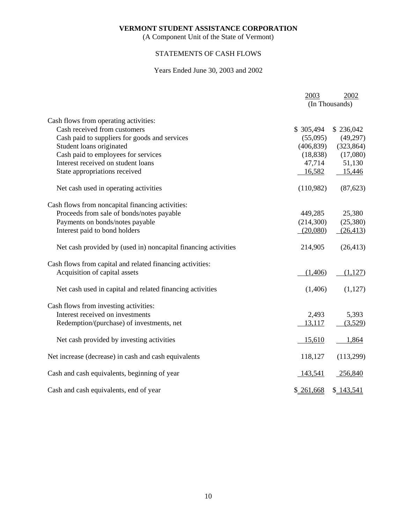(A Component Unit of the State of Vermont)

# STATEMENTS OF CASH FLOWS

# Years Ended June 30, 2003 and 2002

|                                                                | 2003       | 2002           |  |
|----------------------------------------------------------------|------------|----------------|--|
|                                                                |            | (In Thousands) |  |
| Cash flows from operating activities:                          |            |                |  |
| Cash received from customers                                   | \$305,494  | \$236,042      |  |
| Cash paid to suppliers for goods and services                  | (55,095)   | (49,297)       |  |
| Student loans originated                                       | (406, 839) | (323, 864)     |  |
| Cash paid to employees for services                            | (18, 838)  | (17,080)       |  |
| Interest received on student loans                             | 47,714     | 51,130         |  |
| State appropriations received                                  | 16,582     | 15,446         |  |
| Net cash used in operating activities                          | (110,982)  | (87, 623)      |  |
| Cash flows from noncapital financing activities:               |            |                |  |
| Proceeds from sale of bonds/notes payable                      | 449,285    | 25,380         |  |
| Payments on bonds/notes payable                                | (214,300)  | (25,380)       |  |
| Interest paid to bond holders                                  | (20,080)   | (26, 413)      |  |
| Net cash provided by (used in) noncapital financing activities | 214,905    | (26, 413)      |  |
| Cash flows from capital and related financing activities:      |            |                |  |
| Acquisition of capital assets                                  | (1,406)    | (1,127)        |  |
| Net cash used in capital and related financing activities      | (1,406)    | (1,127)        |  |
| Cash flows from investing activities:                          |            |                |  |
| Interest received on investments                               | 2,493      | 5,393          |  |
| Redemption/(purchase) of investments, net                      | 13,117     | (3,529)        |  |
| Net cash provided by investing activities                      | 15,610     | 1,864          |  |
| Net increase (decrease) in cash and cash equivalents           | 118,127    | (113,299)      |  |
| Cash and cash equivalents, beginning of year                   | 143,541    | 256,840        |  |
| Cash and cash equivalents, end of year                         | \$261,668  | \$143,541      |  |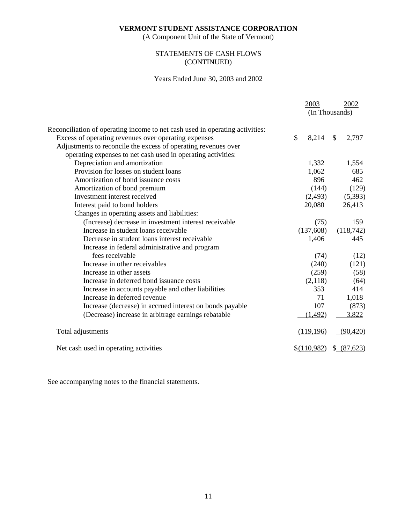(A Component Unit of the State of Vermont)

# STATEMENTS OF CASH FLOWS (CONTINUED)

# Years Ended June 30, 2003 and 2002

|                                                                              | 2003        | 2002           |
|------------------------------------------------------------------------------|-------------|----------------|
|                                                                              |             | (In Thousands) |
| Reconciliation of operating income to net cash used in operating activities: |             |                |
| Excess of operating revenues over operating expenses                         | \$<br>8,214 | \$.<br>2,797   |
| Adjustments to reconcile the excess of operating revenues over               |             |                |
| operating expenses to net cash used in operating activities:                 |             |                |
| Depreciation and amortization                                                | 1,332       | 1,554          |
| Provision for losses on student loans                                        | 1,062       | 685            |
| Amortization of bond issuance costs                                          | 896         | 462            |
| Amortization of bond premium                                                 | (144)       | (129)          |
| Investment interest received                                                 | (2,493)     | (5,393)        |
| Interest paid to bond holders                                                | 20,080      | 26,413         |
| Changes in operating assets and liabilities:                                 |             |                |
| (Increase) decrease in investment interest receivable                        | (75)        | 159            |
| Increase in student loans receivable                                         | (137,608)   | (118, 742)     |
| Decrease in student loans interest receivable                                | 1,406       | 445            |
| Increase in federal administrative and program                               |             |                |
| fees receivable                                                              | (74)        | (12)           |
| Increase in other receivables                                                | (240)       | (121)          |
| Increase in other assets                                                     | (259)       | (58)           |
| Increase in deferred bond issuance costs                                     | (2,118)     | (64)           |
| Increase in accounts payable and other liabilities                           | 353         | 414            |
| Increase in deferred revenue                                                 | 71          | 1,018          |
| Increase (decrease) in accrued interest on bonds payable                     | 107         | (873)          |
| (Decrease) increase in arbitrage earnings rebatable                          | (1, 492)    | 3,822          |
| Total adjustments                                                            | (119,196)   | (90, 420)      |
| Net cash used in operating activities                                        | \$(110,982) | \$ (87,623)    |

See accompanying notes to the financial statements.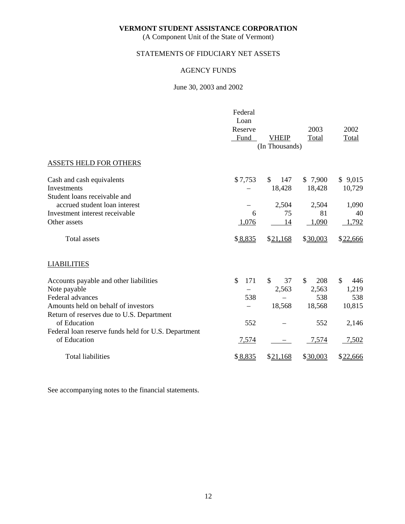(A Component Unit of the State of Vermont)

# STATEMENTS OF FIDUCIARY NET ASSETS

# AGENCY FUNDS

# June 30, 2003 and 2002

|                                                     | Federal   |                 |                     |           |
|-----------------------------------------------------|-----------|-----------------|---------------------|-----------|
|                                                     | Loan      |                 |                     |           |
|                                                     | Reserve   |                 | 2003                | 2002      |
|                                                     | Fund      | <b>VHEIP</b>    | Total               | Total     |
|                                                     |           | (In Thousands)  |                     |           |
| <b>ASSETS HELD FOR OTHERS</b>                       |           |                 |                     |           |
| Cash and cash equivalents                           | \$7,753   | \$<br>147       | \$7,900             | \$9,015   |
| Investments                                         |           | 18,428          | 18,428              | 10,729    |
| Student loans receivable and                        |           |                 |                     |           |
| accrued student loan interest                       |           | 2,504           | 2,504               | 1,090     |
| Investment interest receivable                      | 6         | 75              | 81                  | 40        |
| Other assets                                        | 1,076     | 14              | 1,090               | 1,792     |
| <b>Total assets</b>                                 | \$8,835   | \$21,168        | \$30,003            | \$22,666  |
| <b>LIABILITIES</b>                                  |           |                 |                     |           |
| Accounts payable and other liabilities              | \$<br>171 | \$<br>37        | $\mathbb{S}$<br>208 | \$<br>446 |
| Note payable                                        |           | 2,563           | 2,563               | 1,219     |
| Federal advances                                    | 538       |                 | 538                 | 538       |
| Amounts held on behalf of investors                 |           | 18,568          | 18,568              | 10,815    |
| Return of reserves due to U.S. Department           |           |                 |                     |           |
| of Education                                        | 552       |                 | 552                 | 2,146     |
| Federal loan reserve funds held for U.S. Department |           |                 |                     |           |
| of Education                                        | 7,574     |                 | 7,574               | 7,502     |
| <b>Total liabilities</b>                            | \$8,835   | <u>\$21,168</u> | \$30,003            | \$22,666  |

See accompanying notes to the financial statements.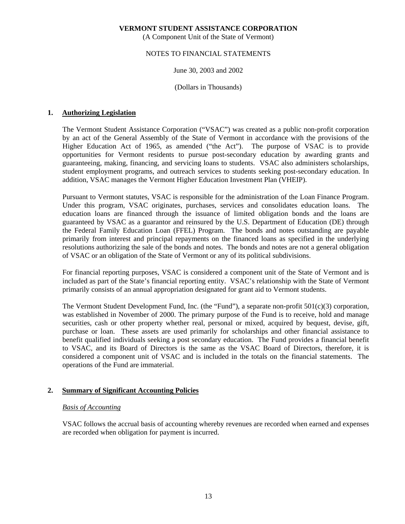(A Component Unit of the State of Vermont)

### NOTES TO FINANCIAL STATEMENTS

### June 30, 2003 and 2002

(Dollars in Thousands)

# **1. Authorizing Legislation**

 The Vermont Student Assistance Corporation ("VSAC") was created as a public non-profit corporation by an act of the General Assembly of the State of Vermont in accordance with the provisions of the Higher Education Act of 1965, as amended ("the Act"). The purpose of VSAC is to provide opportunities for Vermont residents to pursue post-secondary education by awarding grants and guaranteeing, making, financing, and servicing loans to students. VSAC also administers scholarships, student employment programs, and outreach services to students seeking post-secondary education. In addition, VSAC manages the Vermont Higher Education Investment Plan (VHEIP).

 Pursuant to Vermont statutes, VSAC is responsible for the administration of the Loan Finance Program. Under this program, VSAC originates, purchases, services and consolidates education loans. The education loans are financed through the issuance of limited obligation bonds and the loans are guaranteed by VSAC as a guarantor and reinsured by the U.S. Department of Education (DE) through the Federal Family Education Loan (FFEL) Program. The bonds and notes outstanding are payable primarily from interest and principal repayments on the financed loans as specified in the underlying resolutions authorizing the sale of the bonds and notes. The bonds and notes are not a general obligation of VSAC or an obligation of the State of Vermont or any of its political subdivisions.

 For financial reporting purposes, VSAC is considered a component unit of the State of Vermont and is included as part of the State's financial reporting entity. VSAC's relationship with the State of Vermont primarily consists of an annual appropriation designated for grant aid to Vermont students.

 The Vermont Student Development Fund, Inc. (the "Fund"), a separate non-profit 501(c)(3) corporation, was established in November of 2000. The primary purpose of the Fund is to receive, hold and manage securities, cash or other property whether real, personal or mixed, acquired by bequest, devise, gift, purchase or loan. These assets are used primarily for scholarships and other financial assistance to benefit qualified individuals seeking a post secondary education. The Fund provides a financial benefit to VSAC, and its Board of Directors is the same as the VSAC Board of Directors, therefore, it is considered a component unit of VSAC and is included in the totals on the financial statements. The operations of the Fund are immaterial.

# **2. Summary of Significant Accounting Policies**

### *Basis of Accounting*

 VSAC follows the accrual basis of accounting whereby revenues are recorded when earned and expenses are recorded when obligation for payment is incurred.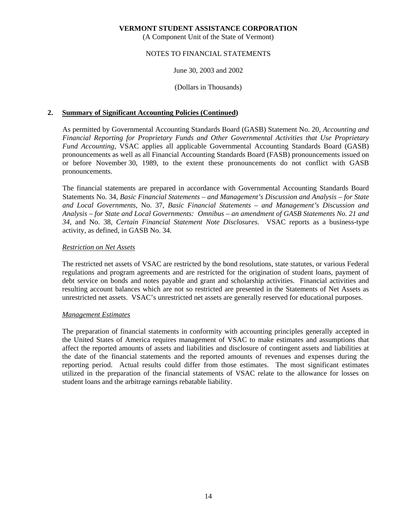(A Component Unit of the State of Vermont)

### NOTES TO FINANCIAL STATEMENTS

### June 30, 2003 and 2002

#### (Dollars in Thousands)

# **2. Summary of Significant Accounting Policies (Continued)**

 As permitted by Governmental Accounting Standards Board (GASB) Statement No. 20, *Accounting and Financial Reporting for Proprietary Funds and Other Governmental Activities that Use Proprietary Fund Accounting*, VSAC applies all applicable Governmental Accounting Standards Board (GASB) pronouncements as well as all Financial Accounting Standards Board (FASB) pronouncements issued on or before November 30, 1989, to the extent these pronouncements do not conflict with GASB pronouncements.

 The financial statements are prepared in accordance with Governmental Accounting Standards Board Statements No. 34, *Basic Financial Statements – and Management's Discussion and Analysis – for State and Local Governments*, No. 37, *Basic Financial Statements – and Management's Discussion and Analysis – for State and Local Governments: Omnibus – an amendment of GASB Statements No. 21 and 34*, and No. 38, *Certain Financial Statement Note Disclosures*. VSAC reports as a business-type activity, as defined, in GASB No. 34.

### *Restriction on Net Assets*

 The restricted net assets of VSAC are restricted by the bond resolutions, state statutes, or various Federal regulations and program agreements and are restricted for the origination of student loans, payment of debt service on bonds and notes payable and grant and scholarship activities. Financial activities and resulting account balances which are not so restricted are presented in the Statements of Net Assets as unrestricted net assets. VSAC's unrestricted net assets are generally reserved for educational purposes.

#### *Management Estimates*

 The preparation of financial statements in conformity with accounting principles generally accepted in the United States of America requires management of VSAC to make estimates and assumptions that affect the reported amounts of assets and liabilities and disclosure of contingent assets and liabilities at the date of the financial statements and the reported amounts of revenues and expenses during the reporting period. Actual results could differ from those estimates. The most significant estimates utilized in the preparation of the financial statements of VSAC relate to the allowance for losses on student loans and the arbitrage earnings rebatable liability.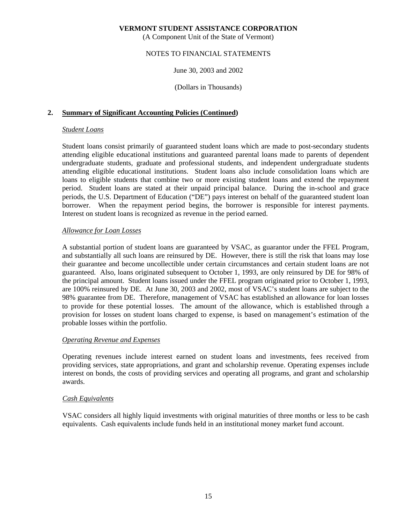(A Component Unit of the State of Vermont)

### NOTES TO FINANCIAL STATEMENTS

June 30, 2003 and 2002

(Dollars in Thousands)

# **2. Summary of Significant Accounting Policies (Continued)**

#### *Student Loans*

 Student loans consist primarily of guaranteed student loans which are made to post-secondary students attending eligible educational institutions and guaranteed parental loans made to parents of dependent undergraduate students, graduate and professional students, and independent undergraduate students attending eligible educational institutions. Student loans also include consolidation loans which are loans to eligible students that combine two or more existing student loans and extend the repayment period. Student loans are stated at their unpaid principal balance. During the in-school and grace periods, the U.S. Department of Education ("DE") pays interest on behalf of the guaranteed student loan borrower. When the repayment period begins, the borrower is responsible for interest payments. Interest on student loans is recognized as revenue in the period earned.

### *Allowance for Loan Losses*

 A substantial portion of student loans are guaranteed by VSAC, as guarantor under the FFEL Program, and substantially all such loans are reinsured by DE. However, there is still the risk that loans may lose their guarantee and become uncollectible under certain circumstances and certain student loans are not guaranteed. Also, loans originated subsequent to October 1, 1993, are only reinsured by DE for 98% of the principal amount. Student loans issued under the FFEL program originated prior to October 1, 1993, are 100% reinsured by DE. At June 30, 2003 and 2002, most of VSAC's student loans are subject to the 98% guarantee from DE. Therefore, management of VSAC has established an allowance for loan losses to provide for these potential losses. The amount of the allowance, which is established through a provision for losses on student loans charged to expense, is based on management's estimation of the probable losses within the portfolio.

# *Operating Revenue and Expenses*

 Operating revenues include interest earned on student loans and investments, fees received from providing services, state appropriations, and grant and scholarship revenue. Operating expenses include interest on bonds, the costs of providing services and operating all programs, and grant and scholarship awards.

# *Cash Equivalents*

 VSAC considers all highly liquid investments with original maturities of three months or less to be cash equivalents. Cash equivalents include funds held in an institutional money market fund account.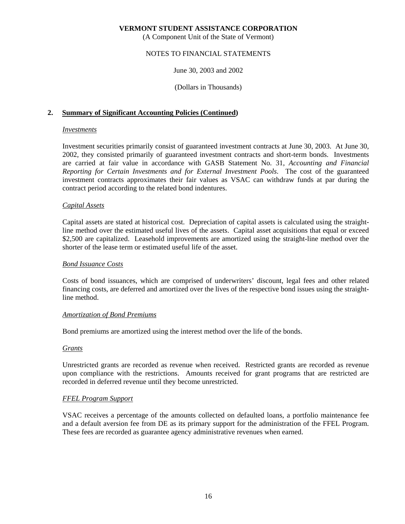(A Component Unit of the State of Vermont)

### NOTES TO FINANCIAL STATEMENTS

June 30, 2003 and 2002

(Dollars in Thousands)

# **2. Summary of Significant Accounting Policies (Continued)**

#### *Investments*

 Investment securities primarily consist of guaranteed investment contracts at June 30, 2003. At June 30, 2002, they consisted primarily of guaranteed investment contracts and short-term bonds. Investments are carried at fair value in accordance with GASB Statement No. 31, *Accounting and Financial Reporting for Certain Investments and for External Investment Pools*. The cost of the guaranteed investment contracts approximates their fair values as VSAC can withdraw funds at par during the contract period according to the related bond indentures.

#### *Capital Assets*

 Capital assets are stated at historical cost. Depreciation of capital assets is calculated using the straightline method over the estimated useful lives of the assets. Capital asset acquisitions that equal or exceed \$2,500 are capitalized. Leasehold improvements are amortized using the straight-line method over the shorter of the lease term or estimated useful life of the asset.

#### *Bond Issuance Costs*

 Costs of bond issuances, which are comprised of underwriters' discount, legal fees and other related financing costs, are deferred and amortized over the lives of the respective bond issues using the straightline method.

#### *Amortization of Bond Premiums*

Bond premiums are amortized using the interest method over the life of the bonds.

#### *Grants*

 Unrestricted grants are recorded as revenue when received. Restricted grants are recorded as revenue upon compliance with the restrictions. Amounts received for grant programs that are restricted are recorded in deferred revenue until they become unrestricted.

#### *FFEL Program Support*

 VSAC receives a percentage of the amounts collected on defaulted loans, a portfolio maintenance fee and a default aversion fee from DE as its primary support for the administration of the FFEL Program. These fees are recorded as guarantee agency administrative revenues when earned.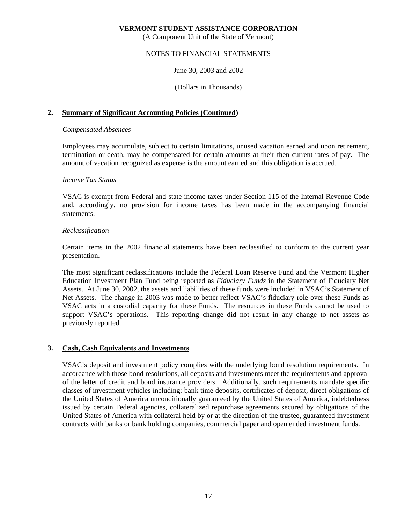(A Component Unit of the State of Vermont)

### NOTES TO FINANCIAL STATEMENTS

June 30, 2003 and 2002

(Dollars in Thousands)

# **2. Summary of Significant Accounting Policies (Continued)**

#### *Compensated Absences*

 Employees may accumulate, subject to certain limitations, unused vacation earned and upon retirement, termination or death, may be compensated for certain amounts at their then current rates of pay. The amount of vacation recognized as expense is the amount earned and this obligation is accrued.

#### *Income Tax Status*

 VSAC is exempt from Federal and state income taxes under Section 115 of the Internal Revenue Code and, accordingly, no provision for income taxes has been made in the accompanying financial statements.

#### *Reclassification*

 Certain items in the 2002 financial statements have been reclassified to conform to the current year presentation.

 The most significant reclassifications include the Federal Loan Reserve Fund and the Vermont Higher Education Investment Plan Fund being reported as *Fiduciary Funds* in the Statement of Fiduciary Net Assets. At June 30, 2002, the assets and liabilities of these funds were included in VSAC's Statement of Net Assets. The change in 2003 was made to better reflect VSAC's fiduciary role over these Funds as VSAC acts in a custodial capacity for these Funds. The resources in these Funds cannot be used to support VSAC's operations. This reporting change did not result in any change to net assets as previously reported.

#### **3. Cash, Cash Equivalents and Investments**

 VSAC's deposit and investment policy complies with the underlying bond resolution requirements. In accordance with those bond resolutions, all deposits and investments meet the requirements and approval of the letter of credit and bond insurance providers. Additionally, such requirements mandate specific classes of investment vehicles including: bank time deposits, certificates of deposit, direct obligations of the United States of America unconditionally guaranteed by the United States of America, indebtedness issued by certain Federal agencies, collateralized repurchase agreements secured by obligations of the United States of America with collateral held by or at the direction of the trustee, guaranteed investment contracts with banks or bank holding companies, commercial paper and open ended investment funds.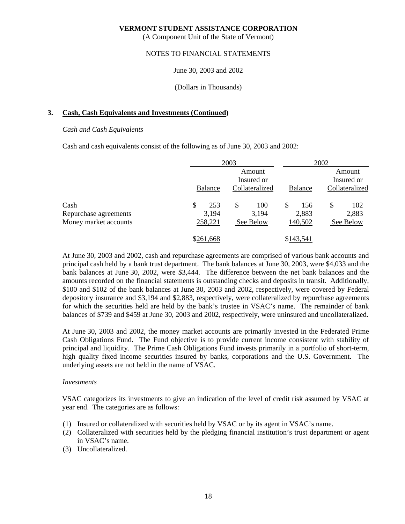(A Component Unit of the State of Vermont)

#### NOTES TO FINANCIAL STATEMENTS

June 30, 2003 and 2002

(Dollars in Thousands)

# **3. Cash, Cash Equivalents and Investments (Continued)**

#### *Cash and Cash Equivalents*

Cash and cash equivalents consist of the following as of June 30, 2003 and 2002:

|                       |                | 2003           |                | 2002           |
|-----------------------|----------------|----------------|----------------|----------------|
|                       |                | Amount         |                | Amount         |
|                       |                | Insured or     |                | Insured or     |
|                       | <b>Balance</b> | Collateralized | <b>Balance</b> | Collateralized |
| Cash                  | 253<br>S       | \$<br>100      | S<br>156       | \$<br>102      |
| Repurchase agreements | 3,194          | 3,194          | 2,883          | 2,883          |
| Money market accounts | 258,221        | See Below      | 140,502        | See Below      |
|                       | \$261,668      |                | \$143,541      |                |

 At June 30, 2003 and 2002, cash and repurchase agreements are comprised of various bank accounts and principal cash held by a bank trust department. The bank balances at June 30, 2003, were \$4,033 and the bank balances at June 30, 2002, were \$3,444. The difference between the net bank balances and the amounts recorded on the financial statements is outstanding checks and deposits in transit. Additionally, \$100 and \$102 of the bank balances at June 30, 2003 and 2002, respectively, were covered by Federal depository insurance and \$3,194 and \$2,883, respectively, were collateralized by repurchase agreements for which the securities held are held by the bank's trustee in VSAC's name. The remainder of bank balances of \$739 and \$459 at June 30, 2003 and 2002, respectively, were uninsured and uncollateralized.

 At June 30, 2003 and 2002, the money market accounts are primarily invested in the Federated Prime Cash Obligations Fund. The Fund objective is to provide current income consistent with stability of principal and liquidity. The Prime Cash Obligations Fund invests primarily in a portfolio of short-term, high quality fixed income securities insured by banks, corporations and the U.S. Government. The underlying assets are not held in the name of VSAC.

#### *Investments*

 VSAC categorizes its investments to give an indication of the level of credit risk assumed by VSAC at year end. The categories are as follows:

- (1) Insured or collateralized with securities held by VSAC or by its agent in VSAC's name.
- (2) Collateralized with securities held by the pledging financial institution's trust department or agent in VSAC's name.
- (3) Uncollateralized.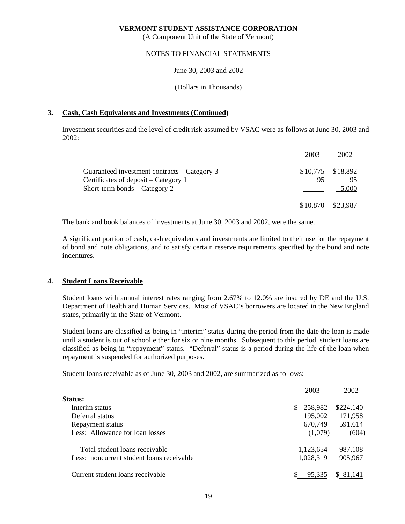(A Component Unit of the State of Vermont)

#### NOTES TO FINANCIAL STATEMENTS

June 30, 2003 and 2002

(Dollars in Thousands)

### **3. Cash, Cash Equivalents and Investments (Continued)**

 Investment securities and the level of credit risk assumed by VSAC were as follows at June 30, 2003 and 2002:

|                                              | 2003     | 2002                |
|----------------------------------------------|----------|---------------------|
| Guaranteed investment contracts – Category 3 |          | $$10,775$ $$18,892$ |
| Certificates of deposit – Category 1         | 95       | 95                  |
| Short-term bonds $-$ Category 2              |          | 5,000               |
|                                              | \$10.870 | \$23.987            |

The bank and book balances of investments at June 30, 2003 and 2002, were the same.

 A significant portion of cash, cash equivalents and investments are limited to their use for the repayment of bond and note obligations, and to satisfy certain reserve requirements specified by the bond and note indentures.

# **4. Student Loans Receivable**

 Student loans with annual interest rates ranging from 2.67% to 12.0% are insured by DE and the U.S. Department of Health and Human Services. Most of VSAC's borrowers are located in the New England states, primarily in the State of Vermont.

 Student loans are classified as being in "interim" status during the period from the date the loan is made until a student is out of school either for six or nine months. Subsequent to this period, student loans are classified as being in "repayment" status. "Deferral" status is a period during the life of the loan when repayment is suspended for authorized purposes.

Student loans receivable as of June 30, 2003 and 2002, are summarized as follows:

|                                           | 2003      | 2002      |
|-------------------------------------------|-----------|-----------|
| Status:                                   |           |           |
| Interim status                            | \$258,982 | \$224,140 |
| Deferral status                           | 195,002   | 171,958   |
| Repayment status                          | 670,749   | 591,614   |
| Less: Allowance for loan losses           | (1.079)   | (604)     |
| Total student loans receivable            | 1,123,654 | 987,108   |
| Less: noncurrent student loans receivable | 1,028,319 | 905,967   |
| Current student loans receivable          | 95,335    | \$81,141  |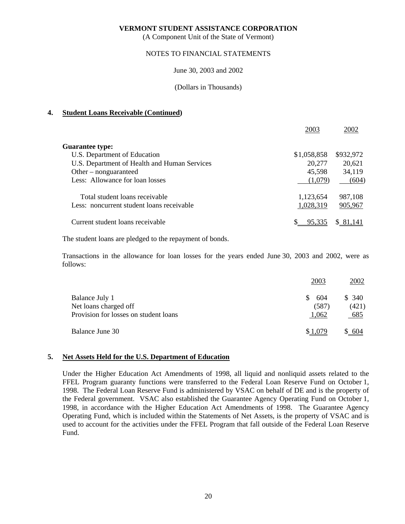(A Component Unit of the State of Vermont)

#### NOTES TO FINANCIAL STATEMENTS

June 30, 2003 and 2002

(Dollars in Thousands)

# **4. Student Loans Receivable (Continued)**

|                                              | 2003        | 2002      |
|----------------------------------------------|-------------|-----------|
| <b>Guarantee type:</b>                       |             |           |
| U.S. Department of Education                 | \$1,058,858 | \$932,972 |
| U.S. Department of Health and Human Services | 20,277      | 20,621    |
| Other $-$ nonguaranteed                      | 45,598      | 34,119    |
| Less: Allowance for loan losses              | (1,079)     | (604)     |
| Total student loans receivable               | 1,123,654   | 987,108   |
| Less: noncurrent student loans receivable    | 1,028,319   | 905,967   |
| Current student loans receivable             |             |           |

The student loans are pledged to the repayment of bonds.

 Transactions in the allowance for loan losses for the years ended June 30, 2003 and 2002, were as follows:

|                                       | 2003  | 2002  |
|---------------------------------------|-------|-------|
| Balance July 1                        | 604   | \$340 |
| Net loans charged off                 | (587) | (421) |
| Provision for losses on student loans | 1,062 | 685   |
| Balance June 30                       |       | 604   |

# **5. Net Assets Held for the U.S. Department of Education**

 Under the Higher Education Act Amendments of 1998, all liquid and nonliquid assets related to the FFEL Program guaranty functions were transferred to the Federal Loan Reserve Fund on October 1, 1998. The Federal Loan Reserve Fund is administered by VSAC on behalf of DE and is the property of the Federal government. VSAC also established the Guarantee Agency Operating Fund on October 1, 1998, in accordance with the Higher Education Act Amendments of 1998. The Guarantee Agency Operating Fund, which is included within the Statements of Net Assets, is the property of VSAC and is used to account for the activities under the FFEL Program that fall outside of the Federal Loan Reserve Fund.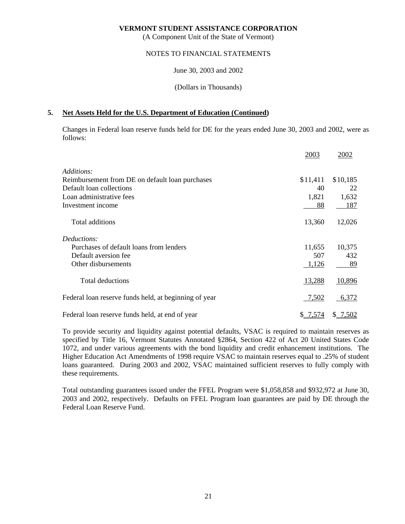(A Component Unit of the State of Vermont)

#### NOTES TO FINANCIAL STATEMENTS

June 30, 2003 and 2002

(Dollars in Thousands)

### **5. Net Assets Held for the U.S. Department of Education (Continued)**

 Changes in Federal loan reserve funds held for DE for the years ended June 30, 2003 and 2002, were as follows:

|                                                       | 2003     | 2002     |
|-------------------------------------------------------|----------|----------|
| Additions:                                            |          |          |
| Reimbursement from DE on default loan purchases       | \$11,411 | \$10,185 |
| Default loan collections                              | 40       | 22       |
| Loan administrative fees                              | 1,821    | 1,632    |
| Investment income                                     | 88       | 187      |
| Total additions                                       | 13,360   | 12,026   |
| Deductions:                                           |          |          |
| Purchases of default loans from lenders               | 11,655   | 10,375   |
| Default aversion fee                                  | 507      | 432      |
| Other disbursements                                   | 1,126    | 89       |
| <b>Total deductions</b>                               | 13,288   | 10,896   |
| Federal loan reserve funds held, at beginning of year | 7,502    | 6,372    |
| Federal loan reserve funds held, at end of year       | \$ 7,574 | \$ 7,502 |

 To provide security and liquidity against potential defaults, VSAC is required to maintain reserves as specified by Title 16, Vermont Statutes Annotated §2864, Section 422 of Act 20 United States Code 1072, and under various agreements with the bond liquidity and credit enhancement institutions. The Higher Education Act Amendments of 1998 require VSAC to maintain reserves equal to .25% of student loans guaranteed. During 2003 and 2002, VSAC maintained sufficient reserves to fully comply with these requirements.

 Total outstanding guarantees issued under the FFEL Program were \$1,058,858 and \$932,972 at June 30, 2003 and 2002, respectively. Defaults on FFEL Program loan guarantees are paid by DE through the Federal Loan Reserve Fund.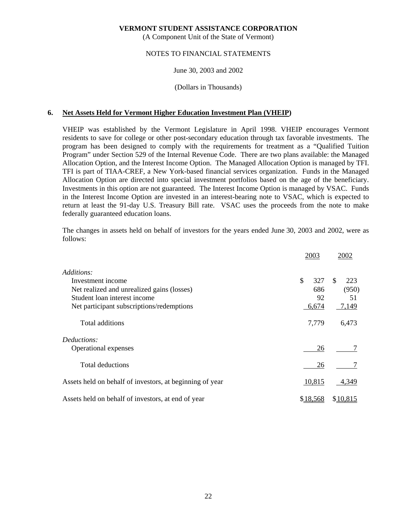(A Component Unit of the State of Vermont)

### NOTES TO FINANCIAL STATEMENTS

### June 30, 2003 and 2002

### (Dollars in Thousands)

# **6. Net Assets Held for Vermont Higher Education Investment Plan (VHEIP)**

 VHEIP was established by the Vermont Legislature in April 1998. VHEIP encourages Vermont residents to save for college or other post-secondary education through tax favorable investments. The program has been designed to comply with the requirements for treatment as a "Qualified Tuition Program" under Section 529 of the Internal Revenue Code. There are two plans available: the Managed Allocation Option, and the Interest Income Option. The Managed Allocation Option is managed by TFI. TFI is part of TIAA-CREF, a New York-based financial services organization. Funds in the Managed Allocation Option are directed into special investment portfolios based on the age of the beneficiary. Investments in this option are not guaranteed. The Interest Income Option is managed by VSAC. Funds in the Interest Income Option are invested in an interest-bearing note to VSAC, which is expected to return at least the 91-day U.S. Treasury Bill rate. VSAC uses the proceeds from the note to make federally guaranteed education loans.

 The changes in assets held on behalf of investors for the years ended June 30, 2003 and 2002, were as follows:

|                                                          | 2003      | 2002                 |
|----------------------------------------------------------|-----------|----------------------|
| Additions:                                               |           |                      |
| Investment income                                        | \$<br>327 | <sup>\$</sup><br>223 |
| Net realized and unrealized gains (losses)               | 686       | (950)                |
| Student loan interest income                             | 92        | 51                   |
| Net participant subscriptions/redemptions                | 6,674     | 7,149                |
| Total additions                                          | 7,779     | 6,473                |
| Deductions:                                              |           |                      |
| Operational expenses                                     | 26        |                      |
| <b>Total deductions</b>                                  | 26        |                      |
| Assets held on behalf of investors, at beginning of year | 10,815    | 4,349                |
| Assets held on behalf of investors, at end of year       | \$18,568  | \$10,815             |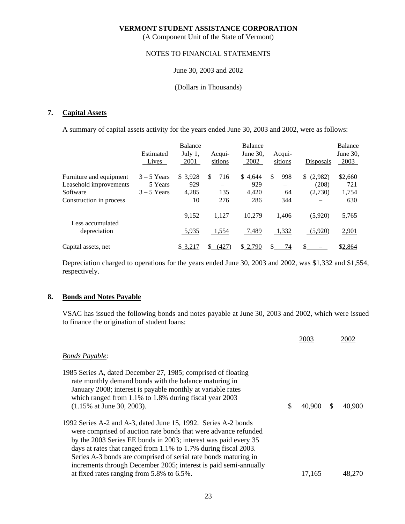(A Component Unit of the State of Vermont)

#### NOTES TO FINANCIAL STATEMENTS

#### June 30, 2003 and 2002

#### (Dollars in Thousands)

### **7. Capital Assets**

A summary of capital assets activity for the years ended June 30, 2003 and 2002, were as follows:

|                                  | Estimated<br>Lives | <b>Balance</b><br>July $1$ ,<br>2001 | Acqui-<br>sitions | Balance<br>June $30$ .<br>2002 | Acqui-<br>sitions | Disposals     | <b>Balance</b><br>June $30$ ,<br>2003 |
|----------------------------------|--------------------|--------------------------------------|-------------------|--------------------------------|-------------------|---------------|---------------------------------------|
| Furniture and equipment          | $3 - 5$ Years      | \$ 3.928                             | 716<br>\$.        | \$4,644                        | \$<br>998         | (2,982)<br>\$ | \$2,660                               |
| Leasehold improvements           | 5 Years            | 929                                  |                   | 929                            | -                 | (208)         | 721                                   |
| Software                         | $3 - 5$ Years      | 4,285                                | 135               | 4,420                          | 64                | (2,730)       | 1,754                                 |
| Construction in process          |                    | 10                                   | 276               | 286                            | 344               |               | 630                                   |
|                                  |                    | 9.152                                | 1.127             | 10.279                         | 1.406             | (5,920)       | 5,765                                 |
| Less accumulated<br>depreciation |                    | 5,935                                | 1,554             | 7,489                          | 1,332             | (5,920)       | 2,901                                 |
| Capital assets, net              |                    | \$ 3.217                             | (427)<br>S        | \$2,790                        | 74                | \$            | \$2,864                               |

 Depreciation charged to operations for the years ended June 30, 2003 and 2002, was \$1,332 and \$1,554, respectively.

### **8. Bonds and Notes Payable**

 VSAC has issued the following bonds and notes payable at June 30, 2003 and 2002, which were issued to finance the origination of student loans:

|                                                                                                                                                                                                                                                                                                                                                                                                                | 2003         | 2002   |
|----------------------------------------------------------------------------------------------------------------------------------------------------------------------------------------------------------------------------------------------------------------------------------------------------------------------------------------------------------------------------------------------------------------|--------------|--------|
| <b>Bonds Payable:</b>                                                                                                                                                                                                                                                                                                                                                                                          |              |        |
| 1985 Series A, dated December 27, 1985; comprised of floating<br>rate monthly demand bonds with the balance maturing in<br>January 2008; interest is payable monthly at variable rates<br>which ranged from 1.1% to 1.8% during fiscal year 2003<br>$(1.15\% \text{ at June } 30, 2003).$                                                                                                                      | \$<br>40.900 | 40,900 |
| 1992 Series A-2 and A-3, dated June 15, 1992. Series A-2 bonds<br>were comprised of auction rate bonds that were advance refunded<br>by the 2003 Series EE bonds in 2003; interest was paid every 35<br>days at rates that ranged from 1.1% to 1.7% during fiscal 2003.<br>Series A-3 bonds are comprised of serial rate bonds maturing in<br>increments through December 2005; interest is paid semi-annually |              |        |
| at fixed rates ranging from 5.8% to 6.5%.                                                                                                                                                                                                                                                                                                                                                                      | 17,165       | 48.270 |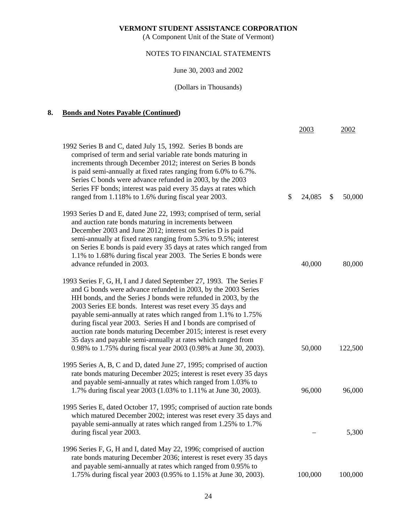(A Component Unit of the State of Vermont)

# NOTES TO FINANCIAL STATEMENTS

June 30, 2003 and 2002

(Dollars in Thousands)

# **8. Bonds and Notes Payable (Continued)**

|                                                                                                                                                                                                                                                                                                                                                                                                                                                                                                                                                                                                                    | 2003         | 2002         |
|--------------------------------------------------------------------------------------------------------------------------------------------------------------------------------------------------------------------------------------------------------------------------------------------------------------------------------------------------------------------------------------------------------------------------------------------------------------------------------------------------------------------------------------------------------------------------------------------------------------------|--------------|--------------|
| 1992 Series B and C, dated July 15, 1992. Series B bonds are<br>comprised of term and serial variable rate bonds maturing in<br>increments through December 2012; interest on Series B bonds<br>is paid semi-annually at fixed rates ranging from 6.0% to 6.7%.<br>Series C bonds were advance refunded in 2003, by the 2003<br>Series FF bonds; interest was paid every 35 days at rates which<br>ranged from 1.118% to 1.6% during fiscal year 2003.                                                                                                                                                             | \$<br>24,085 | \$<br>50,000 |
| 1993 Series D and E, dated June 22, 1993; comprised of term, serial<br>and auction rate bonds maturing in increments between<br>December 2003 and June 2012; interest on Series D is paid<br>semi-annually at fixed rates ranging from 5.3% to 9.5%; interest<br>on Series E bonds is paid every 35 days at rates which ranged from<br>1.1% to 1.68% during fiscal year 2003. The Series E bonds were<br>advance refunded in 2003.                                                                                                                                                                                 | 40,000       | 80,000       |
| 1993 Series F, G, H, I and J dated September 27, 1993. The Series F<br>and G bonds were advance refunded in 2003, by the 2003 Series<br>HH bonds, and the Series J bonds were refunded in 2003, by the<br>2003 Series EE bonds. Interest was reset every 35 days and<br>payable semi-annually at rates which ranged from 1.1% to 1.75%<br>during fiscal year 2003. Series H and I bonds are comprised of<br>auction rate bonds maturing December 2015; interest is reset every<br>35 days and payable semi-annually at rates which ranged from<br>0.98% to 1.75% during fiscal year 2003 (0.98% at June 30, 2003). | 50,000       | 122,500      |
| 1995 Series A, B, C and D, dated June 27, 1995; comprised of auction<br>rate bonds maturing December 2025; interest is reset every 35 days<br>and payable semi-annually at rates which ranged from 1.03% to<br>1.7% during fiscal year 2003 (1.03% to 1.11% at June 30, 2003).                                                                                                                                                                                                                                                                                                                                     | 96,000       | 96,000       |
| 1995 Series E, dated October 17, 1995; comprised of auction rate bonds<br>which matured December 2002; interest was reset every 35 days and<br>payable semi-annually at rates which ranged from 1.25% to 1.7%<br>during fiscal year 2003.                                                                                                                                                                                                                                                                                                                                                                          |              | 5,300        |
| 1996 Series F, G, H and I, dated May 22, 1996; comprised of auction<br>rate bonds maturing December 2036; interest is reset every 35 days<br>and payable semi-annually at rates which ranged from 0.95% to<br>1.75% during fiscal year 2003 (0.95% to 1.15% at June 30, 2003).                                                                                                                                                                                                                                                                                                                                     | 100,000      | 100,000      |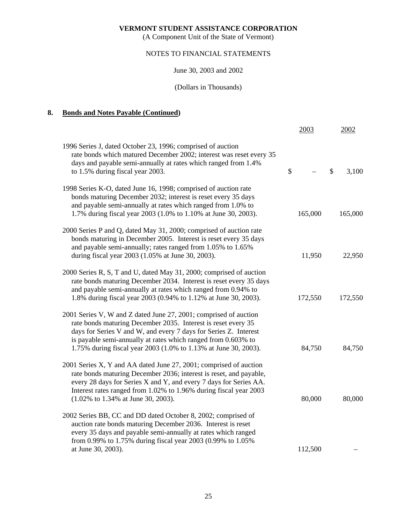(A Component Unit of the State of Vermont)

# NOTES TO FINANCIAL STATEMENTS

June 30, 2003 and 2002

# (Dollars in Thousands)

# **8. Bonds and Notes Payable (Continued)**

|                                                                                                                                                                                                                                                                                                                                               | 2003    |               | 2002    |
|-----------------------------------------------------------------------------------------------------------------------------------------------------------------------------------------------------------------------------------------------------------------------------------------------------------------------------------------------|---------|---------------|---------|
| 1996 Series J, dated October 23, 1996; comprised of auction<br>rate bonds which matured December 2002; interest was reset every 35<br>days and payable semi-annually at rates which ranged from 1.4%<br>to 1.5% during fiscal year 2003.                                                                                                      | \$      | $\mathcal{S}$ | 3,100   |
| 1998 Series K-O, dated June 16, 1998; comprised of auction rate<br>bonds maturing December 2032; interest is reset every 35 days<br>and payable semi-annually at rates which ranged from 1.0% to<br>1.7% during fiscal year 2003 (1.0% to 1.10% at June 30, 2003).                                                                            | 165,000 |               | 165,000 |
| 2000 Series P and Q, dated May 31, 2000; comprised of auction rate<br>bonds maturing in December 2005. Interest is reset every 35 days<br>and payable semi-annually; rates ranged from 1.05% to 1.65%<br>during fiscal year 2003 (1.05% at June 30, 2003).                                                                                    | 11,950  |               | 22,950  |
| 2000 Series R, S, T and U, dated May 31, 2000; comprised of auction<br>rate bonds maturing December 2034. Interest is reset every 35 days<br>and payable semi-annually at rates which ranged from 0.94% to<br>1.8% during fiscal year 2003 (0.94% to 1.12% at June 30, 2003).                                                                 | 172,550 |               | 172,550 |
| 2001 Series V, W and Z dated June 27, 2001; comprised of auction<br>rate bonds maturing December 2035. Interest is reset every 35<br>days for Series V and W, and every 7 days for Series Z. Interest<br>is payable semi-annually at rates which ranged from 0.603% to<br>1.75% during fiscal year 2003 (1.0% to 1.13% at June 30, 2003).     | 84,750  |               | 84,750  |
| 2001 Series X, Y and AA dated June 27, 2001; comprised of auction<br>rate bonds maturing December 2036; interest is reset, and payable,<br>every 28 days for Series X and Y, and every 7 days for Series AA.<br>Interest rates ranged from 1.02% to 1.96% during fiscal year 2003<br>$(1.02\% \text{ to } 1.34\% \text{ at June } 30, 2003).$ | 80,000  |               | 80,000  |
| 2002 Series BB, CC and DD dated October 8, 2002; comprised of<br>auction rate bonds maturing December 2036. Interest is reset<br>every 35 days and payable semi-annually at rates which ranged<br>from 0.99% to 1.75% during fiscal year 2003 (0.99% to 1.05%                                                                                 |         |               |         |
| at June 30, 2003).                                                                                                                                                                                                                                                                                                                            | 112,500 |               |         |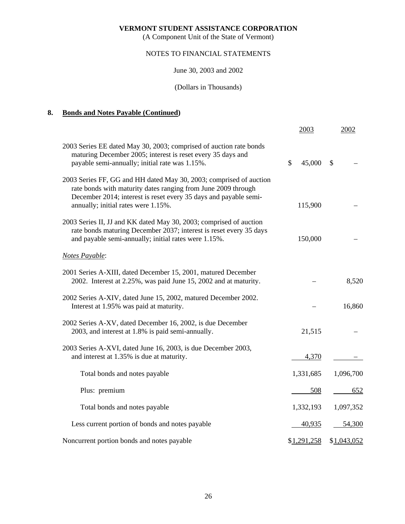(A Component Unit of the State of Vermont)

# NOTES TO FINANCIAL STATEMENTS

June 30, 2003 and 2002

# (Dollars in Thousands)

# **8. Bonds and Notes Payable (Continued)**

|                                                                                                                                                                                                                                                | 2003         | 2002          |
|------------------------------------------------------------------------------------------------------------------------------------------------------------------------------------------------------------------------------------------------|--------------|---------------|
| 2003 Series EE dated May 30, 2003; comprised of auction rate bonds<br>maturing December 2005; interest is reset every 35 days and<br>payable semi-annually; initial rate was 1.15%.                                                            | 45,000<br>\$ | $\mathcal{S}$ |
| 2003 Series FF, GG and HH dated May 30, 2003; comprised of auction<br>rate bonds with maturity dates ranging from June 2009 through<br>December 2014; interest is reset every 35 days and payable semi-<br>annually; initial rates were 1.15%. | 115,900      |               |
| 2003 Series II, JJ and KK dated May 30, 2003; comprised of auction<br>rate bonds maturing December 2037; interest is reset every 35 days<br>and payable semi-annually; initial rates were 1.15%.                                               | 150,000      |               |
| Notes Payable:                                                                                                                                                                                                                                 |              |               |
| 2001 Series A-XIII, dated December 15, 2001, matured December<br>2002. Interest at 2.25%, was paid June 15, 2002 and at maturity.                                                                                                              |              | 8,520         |
| 2002 Series A-XIV, dated June 15, 2002, matured December 2002.<br>Interest at 1.95% was paid at maturity.                                                                                                                                      |              | 16,860        |
| 2002 Series A-XV, dated December 16, 2002, is due December<br>2003, and interest at 1.8% is paid semi-annually.                                                                                                                                | 21,515       |               |
| 2003 Series A-XVI, dated June 16, 2003, is due December 2003,<br>and interest at 1.35% is due at maturity.                                                                                                                                     | 4,370        |               |
| Total bonds and notes payable                                                                                                                                                                                                                  | 1,331,685    | 1,096,700     |
| Plus: premium                                                                                                                                                                                                                                  | 508          | 652           |
| Total bonds and notes payable                                                                                                                                                                                                                  | 1,332,193    | 1,097,352     |
| Less current portion of bonds and notes payable                                                                                                                                                                                                | 40,935       | 54,300        |
| Noncurrent portion bonds and notes payable                                                                                                                                                                                                     | \$1,291,258  | \$1,043,052   |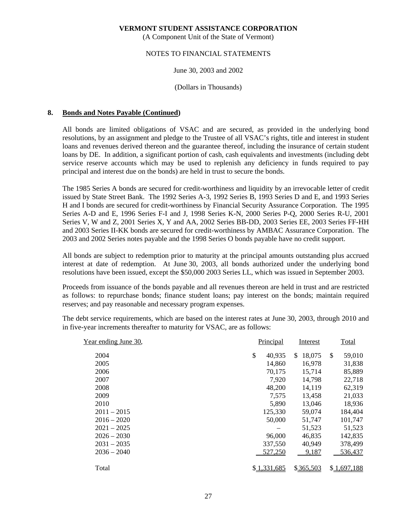(A Component Unit of the State of Vermont)

#### NOTES TO FINANCIAL STATEMENTS

June 30, 2003 and 2002

(Dollars in Thousands)

### **8. Bonds and Notes Payable (Continued)**

 All bonds are limited obligations of VSAC and are secured, as provided in the underlying bond resolutions, by an assignment and pledge to the Trustee of all VSAC's rights, title and interest in student loans and revenues derived thereon and the guarantee thereof, including the insurance of certain student loans by DE. In addition, a significant portion of cash, cash equivalents and investments (including debt service reserve accounts which may be used to replenish any deficiency in funds required to pay principal and interest due on the bonds) are held in trust to secure the bonds.

 The 1985 Series A bonds are secured for credit-worthiness and liquidity by an irrevocable letter of credit issued by State Street Bank. The 1992 Series A-3, 1992 Series B, 1993 Series D and E, and 1993 Series H and I bonds are secured for credit-worthiness by Financial Security Assurance Corporation. The 1995 Series A-D and E, 1996 Series F-I and J, 1998 Series K-N, 2000 Series P-Q, 2000 Series R-U, 2001 Series V, W and Z, 2001 Series X, Y and AA, 2002 Series BB-DD, 2003 Series EE, 2003 Series FF-HH and 2003 Series II-KK bonds are secured for credit-worthiness by AMBAC Assurance Corporation. The 2003 and 2002 Series notes payable and the 1998 Series O bonds payable have no credit support.

 All bonds are subject to redemption prior to maturity at the principal amounts outstanding plus accrued interest at date of redemption. At June 30, 2003, all bonds authorized under the underlying bond resolutions have been issued, except the \$50,000 2003 Series LL, which was issued in September 2003.

 Proceeds from issuance of the bonds payable and all revenues thereon are held in trust and are restricted as follows: to repurchase bonds; finance student loans; pay interest on the bonds; maintain required reserves; and pay reasonable and necessary program expenses.

 The debt service requirements, which are based on the interest rates at June 30, 2003, through 2010 and in five-year increments thereafter to maturity for VSAC, are as follows:

| Year ending June 30, | Principal    | <b>Interest</b> | Total                   |
|----------------------|--------------|-----------------|-------------------------|
| 2004                 | \$<br>40,935 | 18,075<br>\$.   | <sup>\$</sup><br>59,010 |
| 2005                 | 14,860       | 16,978          | 31,838                  |
| 2006                 | 70,175       | 15,714          | 85,889                  |
| 2007                 |              | 7,920<br>14,798 | 22,718                  |
| 2008                 | 48,200       | 14,119          | 62,319                  |
| 2009                 |              | 7,575<br>13,458 | 21,033                  |
| 2010                 |              | 13,046<br>5,890 | 18,936                  |
| $2011 - 2015$        | 125,330      | 59,074          | 184,404                 |
| $2016 - 2020$        | 50,000       | 51,747          | 101,747                 |
| $2021 - 2025$        |              | 51,523<br>-     | 51,523                  |
| $2026 - 2030$        | 96,000       | 46,835          | 142,835                 |
| $2031 - 2035$        | 337,550      | 40,949          | 378,499                 |
| $2036 - 2040$        | 527,250      | 9,187           | 536,437                 |
| Total                | \$1,331,685  | \$365,503       | \$1,697,188             |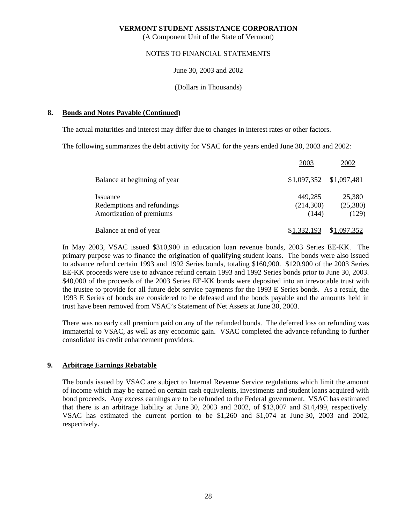(A Component Unit of the State of Vermont)

#### NOTES TO FINANCIAL STATEMENTS

June 30, 2003 and 2002

(Dollars in Thousands)

### **8. Bonds and Notes Payable (Continued)**

The actual maturities and interest may differ due to changes in interest rates or other factors.

The following summarizes the debt activity for VSAC for the years ended June 30, 2003 and 2002:

|                                                                    | 2003                          | 2002                        |
|--------------------------------------------------------------------|-------------------------------|-----------------------------|
| Balance at beginning of year                                       | $$1,097,352$ $$1,097,481$     |                             |
| Issuance<br>Redemptions and refundings<br>Amortization of premiums | 449,285<br>(214,300)<br>(144) | 25,380<br>(25,380)<br>(129) |
| Balance at end of year                                             | \$1,332,193                   | \$1,097,352                 |

 In May 2003, VSAC issued \$310,900 in education loan revenue bonds, 2003 Series EE-KK. The primary purpose was to finance the origination of qualifying student loans. The bonds were also issued to advance refund certain 1993 and 1992 Series bonds, totaling \$160,900. \$120,900 of the 2003 Series EE-KK proceeds were use to advance refund certain 1993 and 1992 Series bonds prior to June 30, 2003. \$40,000 of the proceeds of the 2003 Series EE-KK bonds were deposited into an irrevocable trust with the trustee to provide for all future debt service payments for the 1993 E Series bonds. As a result, the 1993 E Series of bonds are considered to be defeased and the bonds payable and the amounts held in trust have been removed from VSAC's Statement of Net Assets at June 30, 2003.

 There was no early call premium paid on any of the refunded bonds. The deferred loss on refunding was immaterial to VSAC, as well as any economic gain. VSAC completed the advance refunding to further consolidate its credit enhancement providers.

# **9. Arbitrage Earnings Rebatable**

 The bonds issued by VSAC are subject to Internal Revenue Service regulations which limit the amount of income which may be earned on certain cash equivalents, investments and student loans acquired with bond proceeds. Any excess earnings are to be refunded to the Federal government. VSAC has estimated that there is an arbitrage liability at June 30, 2003 and 2002, of \$13,007 and \$14,499, respectively. VSAC has estimated the current portion to be \$1,260 and \$1,074 at June 30, 2003 and 2002, respectively.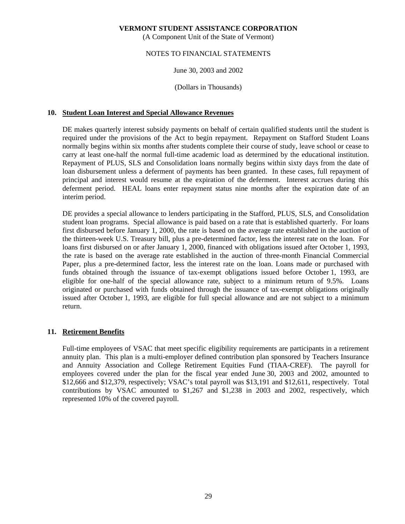(A Component Unit of the State of Vermont)

### NOTES TO FINANCIAL STATEMENTS

June 30, 2003 and 2002

(Dollars in Thousands)

# **10. Student Loan Interest and Special Allowance Revenues**

 DE makes quarterly interest subsidy payments on behalf of certain qualified students until the student is required under the provisions of the Act to begin repayment. Repayment on Stafford Student Loans normally begins within six months after students complete their course of study, leave school or cease to carry at least one-half the normal full-time academic load as determined by the educational institution. Repayment of PLUS, SLS and Consolidation loans normally begins within sixty days from the date of loan disbursement unless a deferment of payments has been granted. In these cases, full repayment of principal and interest would resume at the expiration of the deferment. Interest accrues during this deferment period. HEAL loans enter repayment status nine months after the expiration date of an interim period.

 DE provides a special allowance to lenders participating in the Stafford, PLUS, SLS, and Consolidation student loan programs. Special allowance is paid based on a rate that is established quarterly. For loans first disbursed before January 1, 2000, the rate is based on the average rate established in the auction of the thirteen-week U.S. Treasury bill, plus a pre-determined factor, less the interest rate on the loan. For loans first disbursed on or after January 1, 2000, financed with obligations issued after October 1, 1993, the rate is based on the average rate established in the auction of three-month Financial Commercial Paper, plus a pre-determined factor, less the interest rate on the loan. Loans made or purchased with funds obtained through the issuance of tax-exempt obligations issued before October 1, 1993, are eligible for one-half of the special allowance rate, subject to a minimum return of 9.5%. Loans originated or purchased with funds obtained through the issuance of tax-exempt obligations originally issued after October 1, 1993, are eligible for full special allowance and are not subject to a minimum return.

# **11. Retirement Benefits**

 Full-time employees of VSAC that meet specific eligibility requirements are participants in a retirement annuity plan. This plan is a multi-employer defined contribution plan sponsored by Teachers Insurance and Annuity Association and College Retirement Equities Fund (TIAA-CREF). The payroll for employees covered under the plan for the fiscal year ended June 30, 2003 and 2002, amounted to \$12,666 and \$12,379, respectively; VSAC's total payroll was \$13,191 and \$12,611, respectively. Total contributions by VSAC amounted to \$1,267 and \$1,238 in 2003 and 2002, respectively, which represented 10% of the covered payroll.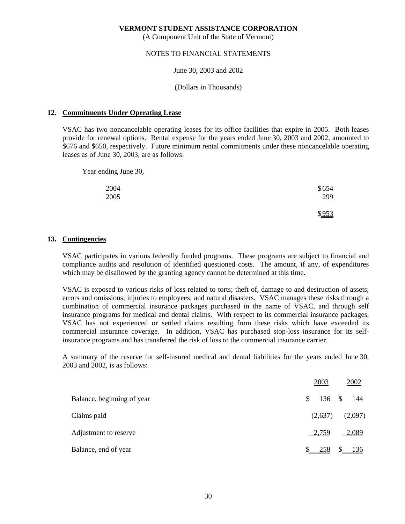(A Component Unit of the State of Vermont)

#### NOTES TO FINANCIAL STATEMENTS

June 30, 2003 and 2002

(Dollars in Thousands)

### **12. Commitments Under Operating Lease**

 VSAC has two noncancelable operating leases for its office facilities that expire in 2005. Both leases provide for renewal options. Rental expense for the years ended June 30, 2003 and 2002, amounted to \$676 and \$650, respectively. Future minimum rental commitments under these noncancelable operating leases as of June 30, 2003, are as follows:

Year ending June 30,

| 2004 | \$654  |
|------|--------|
| 2005 | 299    |
|      | \$ 953 |

### **13. Contingencies**

 VSAC participates in various federally funded programs. These programs are subject to financial and compliance audits and resolution of identified questioned costs. The amount, if any, of expenditures which may be disallowed by the granting agency cannot be determined at this time.

 VSAC is exposed to various risks of loss related to torts; theft of, damage to and destruction of assets; errors and omissions; injuries to employees; and natural disasters. VSAC manages these risks through a combination of commercial insurance packages purchased in the name of VSAC, and through self insurance programs for medical and dental claims. With respect to its commercial insurance packages, VSAC has not experienced or settled claims resulting from these risks which have exceeded its commercial insurance coverage. In addition, VSAC has purchased stop-loss insurance for its selfinsurance programs and has transferred the risk of loss to the commercial insurance carrier.

 A summary of the reserve for self-insured medical and dental liabilities for the years ended June 30, 2003 and 2002, is as follows:

|                            |              | 2003       | 2002    |
|----------------------------|--------------|------------|---------|
| Balance, beginning of year | <sup>S</sup> | 136 \$ 144 |         |
| Claims paid                |              | (2,637)    | (2,097) |
| Adjustment to reserve      |              | 2,759      | 2,089   |
| Balance, end of year       |              | 258        | 136     |